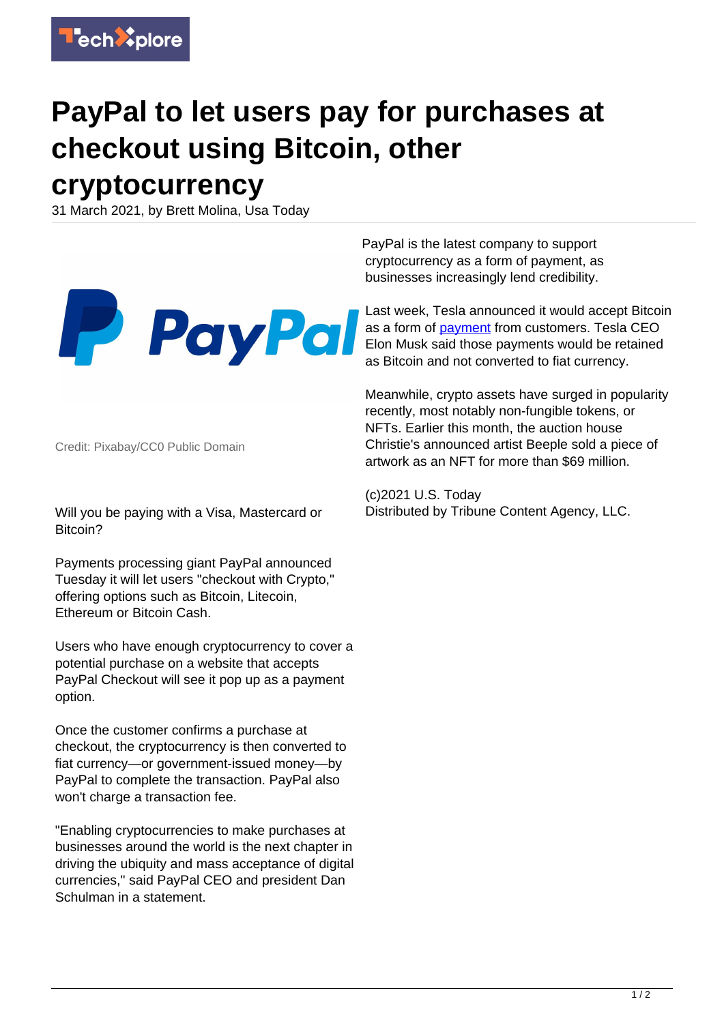

## **PayPal to let users pay for purchases at checkout using Bitcoin, other cryptocurrency**

31 March 2021, by Brett Molina, Usa Today



Credit: Pixabay/CC0 Public Domain

Will you be paying with a Visa, Mastercard or Bitcoin?

Payments processing giant PayPal announced Tuesday it will let users "checkout with Crypto," offering options such as Bitcoin, Litecoin, Ethereum or Bitcoin Cash.

Users who have enough cryptocurrency to cover a potential purchase on a website that accepts PayPal Checkout will see it pop up as a payment option.

Once the customer confirms a purchase at checkout, the cryptocurrency is then converted to fiat currency—or government-issued money—by PayPal to complete the transaction. PayPal also won't charge a transaction fee.

"Enabling cryptocurrencies to make purchases at businesses around the world is the next chapter in driving the ubiquity and mass acceptance of digital currencies," said PayPal CEO and president Dan Schulman in a statement.

PayPal is the latest company to support cryptocurrency as a form of payment, as businesses increasingly lend credibility.

Last week, Tesla announced it would accept Bitcoin as a form of [payment](https://techxplore.com/tags/payment/) from customers. Tesla CEO Elon Musk said those payments would be retained as Bitcoin and not converted to fiat currency.

Meanwhile, crypto assets have surged in popularity recently, most notably non-fungible tokens, or NFTs. Earlier this month, the auction house Christie's announced artist Beeple sold a piece of artwork as an NFT for more than \$69 million.

(c)2021 U.S. Today Distributed by Tribune Content Agency, LLC.